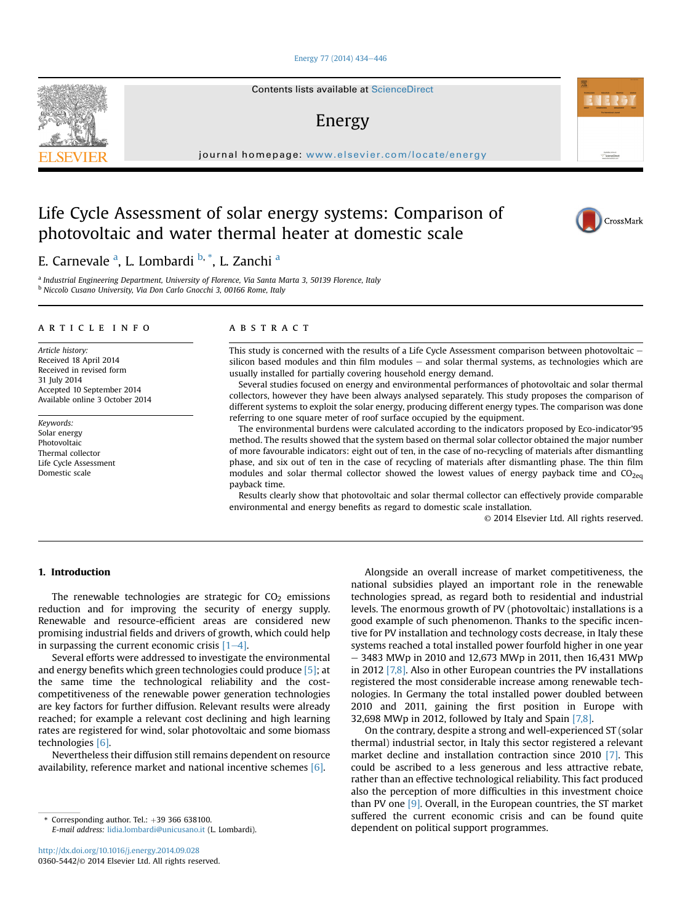#### [Energy 77 \(2014\) 434](http://dx.doi.org/10.1016/j.energy.2014.09.028)-[446](http://dx.doi.org/10.1016/j.energy.2014.09.028)

Contents lists available at ScienceDirect

### Energy

journal homepage: [www.elsevier.com/locate/energy](http://www.elsevier.com/locate/energy)

## Life Cycle Assessment of solar energy systems: Comparison of photovoltaic and water thermal heater at domestic scale



a Industrial Engineering Department, University of Florence, Via Santa Marta 3, 50139 Florence, Italy <sup>b</sup> Niccolò Cusano University, Via Don Carlo Gnocchi 3, 00166 Rome, Italy

#### article info

Article history: Received 18 April 2014 Received in revised form 31 July 2014 Accepted 10 September 2014 Available online 3 October 2014

Keywords: Solar energy Photovoltaic Thermal collector Life Cycle Assessment Domestic scale

#### **ABSTRACT**

This study is concerned with the results of a Life Cycle Assessment comparison between photovoltaic  $$ silicon based modules and thin film modules  $-$  and solar thermal systems, as technologies which are usually installed for partially covering household energy demand.

Several studies focused on energy and environmental performances of photovoltaic and solar thermal collectors, however they have been always analysed separately. This study proposes the comparison of different systems to exploit the solar energy, producing different energy types. The comparison was done referring to one square meter of roof surface occupied by the equipment.

The environmental burdens were calculated according to the indicators proposed by Eco-indicator'95 method. The results showed that the system based on thermal solar collector obtained the major number of more favourable indicators: eight out of ten, in the case of no-recycling of materials after dismantling phase, and six out of ten in the case of recycling of materials after dismantling phase. The thin film modules and solar thermal collector showed the lowest values of energy payback time and  $CO<sub>2</sub>e<sub>q</sub>$ payback time.

Results clearly show that photovoltaic and solar thermal collector can effectively provide comparable environmental and energy benefits as regard to domestic scale installation.

© 2014 Elsevier Ltd. All rights reserved.

#### 1. Introduction

The renewable technologies are strategic for  $CO<sub>2</sub>$  emissions reduction and for improving the security of energy supply. Renewable and resource-efficient areas are considered new promising industrial fields and drivers of growth, which could help in surpassing the current economic crisis  $[1-4]$ .

Several efforts were addressed to investigate the environmental and energy benefits which green technologies could produce [5]; at the same time the technological reliability and the costcompetitiveness of the renewable power generation technologies are key factors for further diffusion. Relevant results were already reached; for example a relevant cost declining and high learning rates are registered for wind, solar photovoltaic and some biomass technologies [6].

Nevertheless their diffusion still remains dependent on resource availability, reference market and national incentive schemes [6].

Alongside an overall increase of market competitiveness, the national subsidies played an important role in the renewable technologies spread, as regard both to residential and industrial levels. The enormous growth of PV (photovoltaic) installations is a good example of such phenomenon. Thanks to the specific incentive for PV installation and technology costs decrease, in Italy these systems reached a total installed power fourfold higher in one year  $-$  3483 MWp in 2010 and 12,673 MWp in 2011, then 16,431 MWp in 2012 [7,8]. Also in other European countries the PV installations registered the most considerable increase among renewable technologies. In Germany the total installed power doubled between 2010 and 2011, gaining the first position in Europe with 32,698 MWp in 2012, followed by Italy and Spain [7,8].

On the contrary, despite a strong and well-experienced ST (solar thermal) industrial sector, in Italy this sector registered a relevant market decline and installation contraction since 2010 [7]. This could be ascribed to a less generous and less attractive rebate, rather than an effective technological reliability. This fact produced also the perception of more difficulties in this investment choice than PV one [9]. Overall, in the European countries, the ST market suffered the current economic crisis and can be found quite dependent on political support programmes. \* Corresponding author. Tel.: <sup>þ</sup>39 366 638100.





Automotive at<br>ScienceDire

E-mail address: [lidia.lombardi@unicusano.it](mailto:lidia.lombardi@unicusano.it) (L. Lombardi).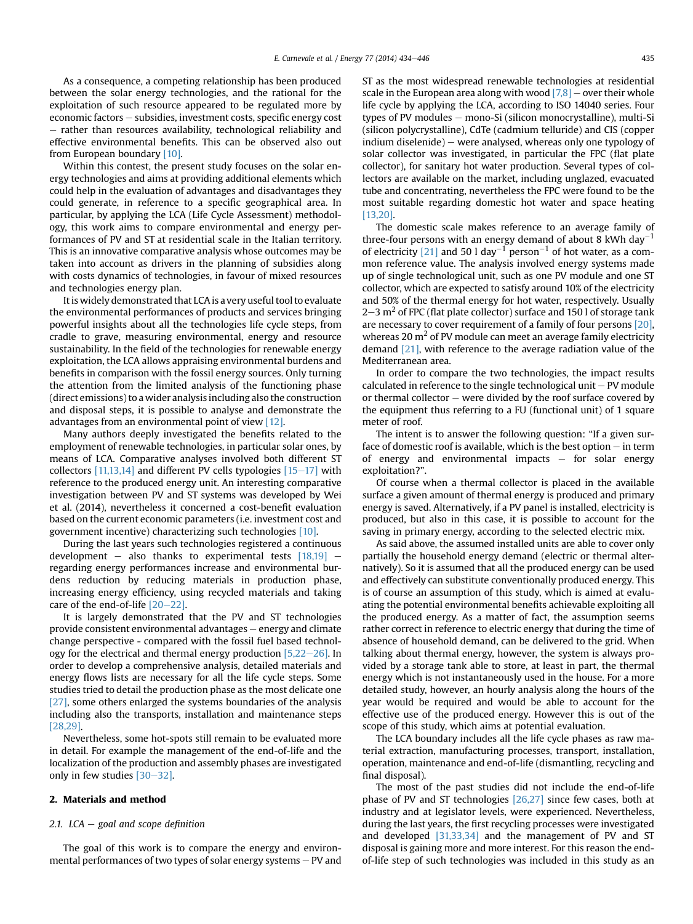As a consequence, a competing relationship has been produced between the solar energy technologies, and the rational for the exploitation of such resource appeared to be regulated more by economic factors - subsidies, investment costs, specific energy cost - rather than resources availability, technological reliability and effective environmental benefits. This can be observed also out from European boundary [10].

Within this contest, the present study focuses on the solar energy technologies and aims at providing additional elements which could help in the evaluation of advantages and disadvantages they could generate, in reference to a specific geographical area. In particular, by applying the LCA (Life Cycle Assessment) methodology, this work aims to compare environmental and energy performances of PV and ST at residential scale in the Italian territory. This is an innovative comparative analysis whose outcomes may be taken into account as drivers in the planning of subsidies along with costs dynamics of technologies, in favour of mixed resources and technologies energy plan.

It is widely demonstrated that LCA is a very useful tool to evaluate the environmental performances of products and services bringing powerful insights about all the technologies life cycle steps, from cradle to grave, measuring environmental, energy and resource sustainability. In the field of the technologies for renewable energy exploitation, the LCA allows appraising environmental burdens and benefits in comparison with the fossil energy sources. Only turning the attention from the limited analysis of the functioning phase (direct emissions) to a wider analysis including also the construction and disposal steps, it is possible to analyse and demonstrate the advantages from an environmental point of view [12].

Many authors deeply investigated the benefits related to the employment of renewable technologies, in particular solar ones, by means of LCA. Comparative analyses involved both different ST collectors  $[11,13,14]$  and different PV cells typologies  $[15-17]$  with reference to the produced energy unit. An interesting comparative investigation between PV and ST systems was developed by Wei et al. (2014), nevertheless it concerned a cost-benefit evaluation based on the current economic parameters (i.e. investment cost and government incentive) characterizing such technologies [10].

During the last years such technologies registered a continuous development – also thanks to experimental tests  $[18,19]$  – regarding energy performances increase and environmental burdens reduction by reducing materials in production phase, increasing energy efficiency, using recycled materials and taking care of the end-of-life  $[20-22]$ .

It is largely demonstrated that the PV and ST technologies provide consistent environmental advantages - energy and climate change perspective - compared with the fossil fuel based technology for the electrical and thermal energy production  $[5,22-26]$ . In order to develop a comprehensive analysis, detailed materials and energy flows lists are necessary for all the life cycle steps. Some studies tried to detail the production phase as the most delicate one [27], some others enlarged the systems boundaries of the analysis including also the transports, installation and maintenance steps [28,29].

Nevertheless, some hot-spots still remain to be evaluated more in detail. For example the management of the end-of-life and the localization of the production and assembly phases are investigated only in few studies  $[30-32]$ .

#### 2. Materials and method

#### 2.1. LCA  $-$  goal and scope definition

The goal of this work is to compare the energy and environmental performances of two types of solar energy systems  $-$  PV and ST as the most widespread renewable technologies at residential scale in the European area along with wood  $[7,8]$  – over their whole life cycle by applying the LCA, according to ISO 14040 series. Four types of PV modules - mono-Si (silicon monocrystalline), multi-Si (silicon polycrystalline), CdTe (cadmium telluride) and CIS (copper indium diselenide)  $-$  were analysed, whereas only one typology of solar collector was investigated, in particular the FPC (flat plate collector), for sanitary hot water production. Several types of collectors are available on the market, including unglazed, evacuated tube and concentrating, nevertheless the FPC were found to be the most suitable regarding domestic hot water and space heating [13,20].

The domestic scale makes reference to an average family of three-four persons with an energy demand of about 8 kWh day $^{-1}$ of electricity [21] and 50 l day<sup>-1</sup> person<sup>-1</sup> of hot water, as a common reference value. The analysis involved energy systems made up of single technological unit, such as one PV module and one ST collector, which are expected to satisfy around 10% of the electricity and 50% of the thermal energy for hot water, respectively. Usually 2–3  $\rm m^2$  of FPC (flat plate collector) surface and 150 l of storage tank are necessary to cover requirement of a family of four persons [20], whereas 20  $m<sup>2</sup>$  of PV module can meet an average family electricity demand [21], with reference to the average radiation value of the Mediterranean area.

In order to compare the two technologies, the impact results calculated in reference to the single technological unit  $-$  PV module or thermal collector  $-$  were divided by the roof surface covered by the equipment thus referring to a FU (functional unit) of 1 square meter of roof.

The intent is to answer the following question: "If a given surface of domestic roof is available, which is the best option  $-$  in term of energy and environmental impacts  $-$  for solar energy exploitation?".

Of course when a thermal collector is placed in the available surface a given amount of thermal energy is produced and primary energy is saved. Alternatively, if a PV panel is installed, electricity is produced, but also in this case, it is possible to account for the saving in primary energy, according to the selected electric mix.

As said above, the assumed installed units are able to cover only partially the household energy demand (electric or thermal alternatively). So it is assumed that all the produced energy can be used and effectively can substitute conventionally produced energy. This is of course an assumption of this study, which is aimed at evaluating the potential environmental benefits achievable exploiting all the produced energy. As a matter of fact, the assumption seems rather correct in reference to electric energy that during the time of absence of household demand, can be delivered to the grid. When talking about thermal energy, however, the system is always provided by a storage tank able to store, at least in part, the thermal energy which is not instantaneously used in the house. For a more detailed study, however, an hourly analysis along the hours of the year would be required and would be able to account for the effective use of the produced energy. However this is out of the scope of this study, which aims at potential evaluation.

The LCA boundary includes all the life cycle phases as raw material extraction, manufacturing processes, transport, installation, operation, maintenance and end-of-life (dismantling, recycling and final disposal).

The most of the past studies did not include the end-of-life phase of PV and ST technologies [26,27] since few cases, both at industry and at legislator levels, were experienced. Nevertheless, during the last years, the first recycling processes were investigated and developed [31,33,34] and the management of PV and ST disposal is gaining more and more interest. For this reason the endof-life step of such technologies was included in this study as an